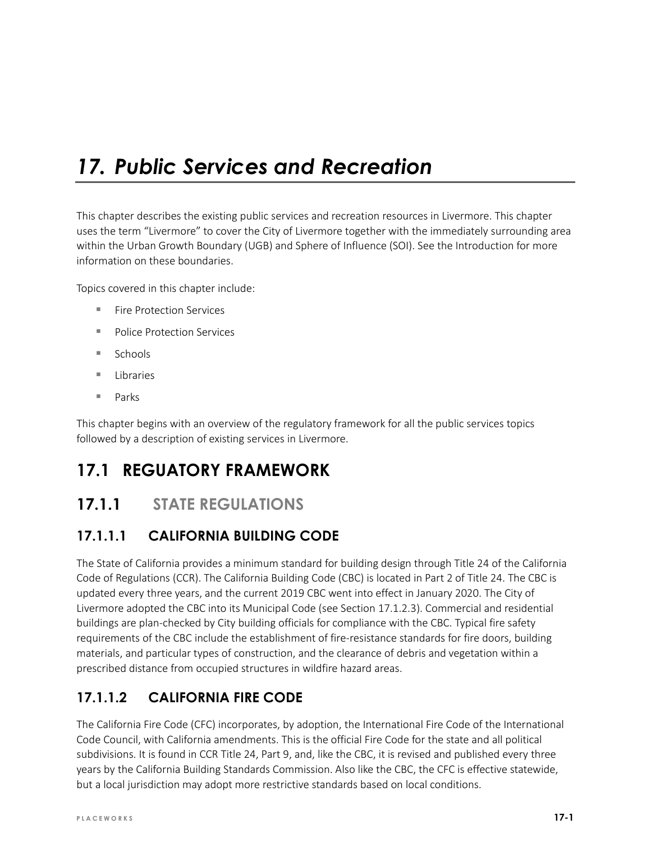# *17. Public Services and Recreation*

This chapter describes the existing public services and recreation resources in Livermore. This chapter uses the term "Livermore" to cover the City of Livermore together with the immediately surrounding area within the Urban Growth Boundary (UGB) and Sphere of Influence (SOI). See the Introduction for more information on these boundaries.

Topics covered in this chapter include:

- **Fire Protection Services**
- **Police Protection Services**
- $Schools$
- **Libraries**
- Parks

This chapter begins with an overview of the regulatory framework for all the public services topics followed by a description of existing services in Livermore.

# **17.1 REGUATORY FRAMEWORK**

# **17.1.1 STATE REGULATIONS**

## **17.1.1.1 CALIFORNIA BUILDING CODE**

The State of California provides a minimum standard for building design through Title 24 of the California Code of Regulations (CCR). The California Building Code (CBC) is located in Part 2 of Title 24. The CBC is updated every three years, and the current 2019 CBC went into effect in January 2020. The City of Livermore adopted the CBC into its Municipal Code (see Section 17.1.2.3). Commercial and residential buildings are plan-checked by City building officials for compliance with the CBC. Typical fire safety requirements of the CBC include the establishment of fire-resistance standards for fire doors, building materials, and particular types of construction, and the clearance of debris and vegetation within a prescribed distance from occupied structures in wildfire hazard areas.

# **17.1.1.2 CALIFORNIA FIRE CODE**

The California Fire Code (CFC) incorporates, by adoption, the International Fire Code of the International Code Council, with California amendments. This is the official Fire Code for the state and all political subdivisions. It is found in CCR Title 24, Part 9, and, like the CBC, it is revised and published every three years by the California Building Standards Commission. Also like the CBC, the CFC is effective statewide, but a local jurisdiction may adopt more restrictive standards based on local conditions.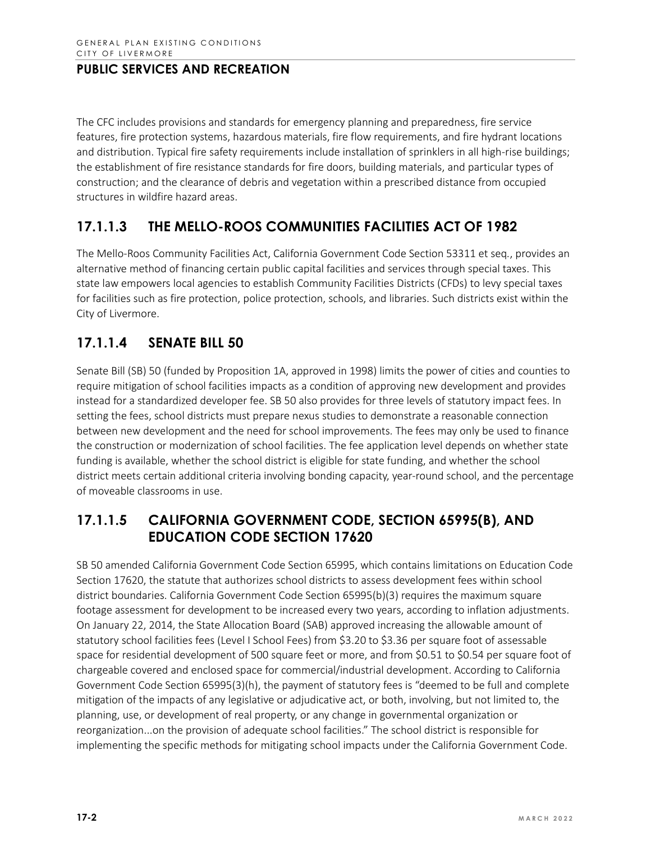The CFC includes provisions and standards for emergency planning and preparedness, fire service features, fire protection systems, hazardous materials, fire flow requirements, and fire hydrant locations and distribution. Typical fire safety requirements include installation of sprinklers in all high-rise buildings; the establishment of fire resistance standards for fire doors, building materials, and particular types of construction; and the clearance of debris and vegetation within a prescribed distance from occupied structures in wildfire hazard areas.

# **17.1.1.3 THE MELLO-ROOS COMMUNITIES FACILITIES ACT OF 1982**

The Mello-Roos Community Facilities Act, California Government Code Section 53311 et seq*.*, provides an alternative method of financing certain public capital facilities and services through special taxes. This state law empowers local agencies to establish Community Facilities Districts (CFDs) to levy special taxes for facilities such as fire protection, police protection, schools, and libraries. Such districts exist within the City of Livermore.

## **17.1.1.4 SENATE BILL 50**

Senate Bill (SB) 50 (funded by Proposition 1A, approved in 1998) limits the power of cities and counties to require mitigation of school facilities impacts as a condition of approving new development and provides instead for a standardized developer fee. SB 50 also provides for three levels of statutory impact fees. In setting the fees, school districts must prepare nexus studies to demonstrate a reasonable connection between new development and the need for school improvements. The fees may only be used to finance the construction or modernization of school facilities. The fee application level depends on whether state funding is available, whether the school district is eligible for state funding, and whether the school district meets certain additional criteria involving bonding capacity, year-round school, and the percentage of moveable classrooms in use.

## **17.1.1.5 CALIFORNIA GOVERNMENT CODE, SECTION 65995(B), AND EDUCATION CODE SECTION 17620**

SB 50 amended California Government Code Section 65995, which contains limitations on Education Code Section 17620, the statute that authorizes school districts to assess development fees within school district boundaries. California Government Code Section 65995(b)(3) requires the maximum square footage assessment for development to be increased every two years, according to inflation adjustments. On January 22, 2014, the State Allocation Board (SAB) approved increasing the allowable amount of statutory school facilities fees (Level I School Fees) from \$3.20 to \$3.36 per square foot of assessable space for residential development of 500 square feet or more, and from \$0.51 to \$0.54 per square foot of chargeable covered and enclosed space for commercial/industrial development. According to California Government Code Section 65995(3)(h), the payment of statutory fees is "deemed to be full and complete mitigation of the impacts of any legislative or adjudicative act, or both, involving, but not limited to, the planning, use, or development of real property, or any change in governmental organization or reorganization...on the provision of adequate school facilities." The school district is responsible for implementing the specific methods for mitigating school impacts under the California Government Code.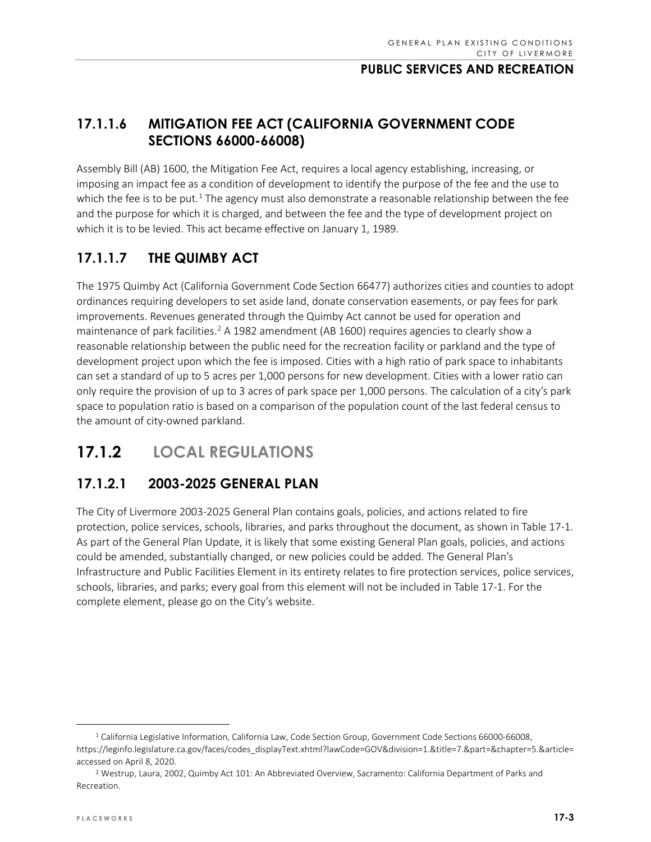## **17.1.1.6 MITIGATION FEE ACT (CALIFORNIA GOVERNMENT CODE SECTIONS 66000-66008)**

Assembly Bill (AB) 1600, the Mitigation Fee Act, requires a local agency establishing, increasing, or imposing an impact fee as a condition of development to identify the purpose of the fee and the use to which the fee is to be put.<sup>[1](#page-2-0)</sup> The agency must also demonstrate a reasonable relationship between the fee and the purpose for which it is charged, and between the fee and the type of development project on which it is to be levied. This act became effective on January 1, 1989.

## **17.1.1.7 THE QUIMBY ACT**

The 1975 Quimby Act (California Government Code Section 66477) authorizes cities and counties to adopt ordinances requiring developers to set aside land, donate conservation easements, or pay fees for park improvements. Revenues generated through the Quimby Act cannot be used for operation and maintenance of park facilities.<sup>[2](#page-2-1)</sup> A 1982 amendment (AB 1600) requires agencies to clearly show a reasonable relationship between the public need for the recreation facility or parkland and the type of development project upon which the fee is imposed. Cities with a high ratio of park space to inhabitants can set a standard of up to 5 acres per 1,000 persons for new development. Cities with a lower ratio can only require the provision of up to 3 acres of park space per 1,000 persons. The calculation of a city's park space to population ratio is based on a comparison of the population count of the last federal census to the amount of city-owned parkland.

# **17.1.2 LOCAL REGULATIONS**

## **17.1.2.1 2003-2025 GENERAL PLAN**

The City of Livermore 2003-2025 General Plan contains goals, policies, and actions related to fire protection, police services, schools, libraries, and parks throughout the document, as shown in Table 17-1. As part of the General Plan Update, it is likely that some existing General Plan goals, policies, and actions could be amended, substantially changed, or new policies could be added. The General Plan's Infrastructure and Public Facilities Element in its entirety relates to fire protection services, police services, schools, libraries, and parks; every goal from this element will not be included in Table 17-1. For the complete element, please go on the City's [website.](https://www.cityoflivermore.net/civicax/filebank/documents/6098)

<span id="page-2-0"></span><sup>&</sup>lt;sup>1</sup> California Legislative Information, California Law, Code Section Group, Government Code Sections 66000-66008, [https://leginfo.legislature.ca.gov/faces/codes\\_displayText.xhtml?lawCode=GOV&division=1.&title=7.&part=&chapter=5.&article=](https://leginfo.legislature.ca.gov/faces/codes_displayText.xhtml?lawCode=GOV&division=1.&title=7.&part=&chapter=5.&article=) accessed on April 8, 2020.

<span id="page-2-1"></span><sup>2</sup> Westrup, Laura, 2002, Quimby Act 101: An Abbreviated Overview, Sacramento: California Department of Parks and Recreation.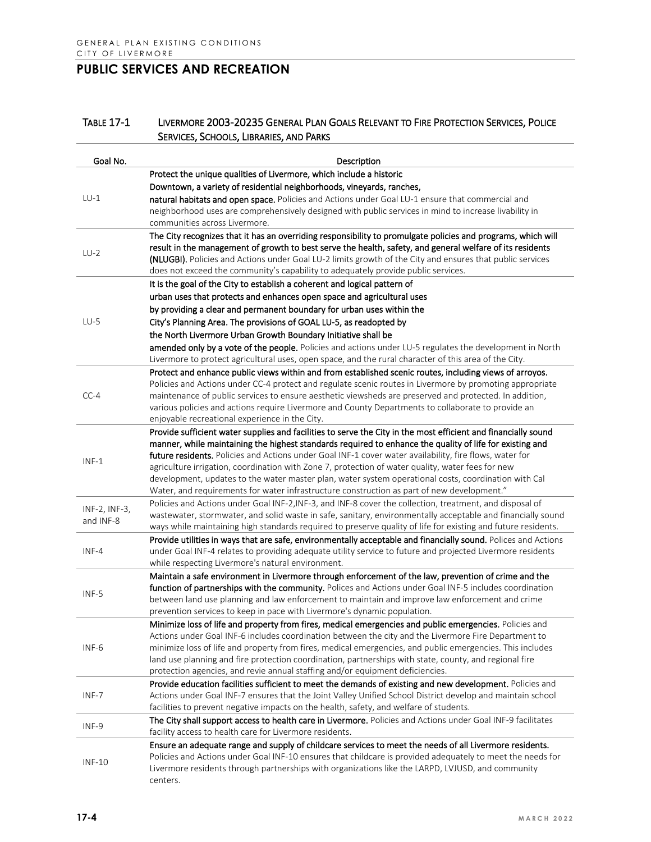#### TABLE 17-1 LIVERMORE 2003-20235 GENERAL PLAN GOALS RELEVANT TO FIRE PROTECTION SERVICES, POLICE SERVICES, SCHOOLS, LIBRARIES, AND PARKS

| Goal No.                   | Description                                                                                                                                                                                                     |
|----------------------------|-----------------------------------------------------------------------------------------------------------------------------------------------------------------------------------------------------------------|
|                            | Protect the unique qualities of Livermore, which include a historic                                                                                                                                             |
|                            | Downtown, a variety of residential neighborhoods, vineyards, ranches,                                                                                                                                           |
| $LU-1$                     | natural habitats and open space. Policies and Actions under Goal LU-1 ensure that commercial and                                                                                                                |
|                            | neighborhood uses are comprehensively designed with public services in mind to increase livability in                                                                                                           |
|                            | communities across Livermore.                                                                                                                                                                                   |
|                            | The City recognizes that it has an overriding responsibility to promulgate policies and programs, which will                                                                                                    |
| $LU-2$                     | result in the management of growth to best serve the health, safety, and general welfare of its residents                                                                                                       |
|                            | (NLUGBI). Policies and Actions under Goal LU-2 limits growth of the City and ensures that public services                                                                                                       |
|                            | does not exceed the community's capability to adequately provide public services.                                                                                                                               |
|                            | It is the goal of the City to establish a coherent and logical pattern of                                                                                                                                       |
|                            | urban uses that protects and enhances open space and agricultural uses                                                                                                                                          |
|                            | by providing a clear and permanent boundary for urban uses within the                                                                                                                                           |
| $LU-5$                     | City's Planning Area. The provisions of GOAL LU-5, as readopted by                                                                                                                                              |
|                            | the North Livermore Urban Growth Boundary Initiative shall be                                                                                                                                                   |
|                            | amended only by a vote of the people. Policies and actions under LU-5 regulates the development in North                                                                                                        |
|                            | Livermore to protect agricultural uses, open space, and the rural character of this area of the City.                                                                                                           |
|                            | Protect and enhance public views within and from established scenic routes, including views of arroyos.                                                                                                         |
|                            | Policies and Actions under CC-4 protect and regulate scenic routes in Livermore by promoting appropriate                                                                                                        |
| $CC-4$                     | maintenance of public services to ensure aesthetic viewsheds are preserved and protected. In addition,<br>various policies and actions require Livermore and County Departments to collaborate to provide an    |
|                            | enjoyable recreational experience in the City.                                                                                                                                                                  |
|                            | Provide sufficient water supplies and facilities to serve the City in the most efficient and financially sound                                                                                                  |
|                            | manner, while maintaining the highest standards required to enhance the quality of life for existing and                                                                                                        |
|                            | future residents. Policies and Actions under Goal INF-1 cover water availability, fire flows, water for                                                                                                         |
| $INF-1$                    | agriculture irrigation, coordination with Zone 7, protection of water quality, water fees for new                                                                                                               |
|                            | development, updates to the water master plan, water system operational costs, coordination with Cal                                                                                                            |
|                            | Water, and requirements for water infrastructure construction as part of new development."                                                                                                                      |
|                            | Policies and Actions under Goal INF-2, INF-3, and INF-8 cover the collection, treatment, and disposal of                                                                                                        |
| INF-2, INF-3,<br>and INF-8 | wastewater, stormwater, and solid waste in safe, sanitary, environmentally acceptable and financially sound                                                                                                     |
|                            | ways while maintaining high standards required to preserve quality of life for existing and future residents.                                                                                                   |
|                            | Provide utilities in ways that are safe, environmentally acceptable and financially sound. Polices and Actions                                                                                                  |
| INF-4                      | under Goal INF-4 relates to providing adequate utility service to future and projected Livermore residents                                                                                                      |
|                            | while respecting Livermore's natural environment.                                                                                                                                                               |
|                            | Maintain a safe environment in Livermore through enforcement of the law, prevention of crime and the                                                                                                            |
| INF-5                      | function of partnerships with the community. Polices and Actions under Goal INF-5 includes coordination                                                                                                         |
|                            | between land use planning and law enforcement to maintain and improve law enforcement and crime                                                                                                                 |
|                            | prevention services to keep in pace with Livermore's dynamic population.                                                                                                                                        |
|                            | Minimize loss of life and property from fires, medical emergencies and public emergencies. Policies and<br>Actions under Goal INF-6 includes coordination between the city and the Livermore Fire Department to |
| INF-6                      | minimize loss of life and property from fires, medical emergencies, and public emergencies. This includes                                                                                                       |
|                            | land use planning and fire protection coordination, partnerships with state, county, and regional fire                                                                                                          |
|                            | protection agencies, and revie annual staffing and/or equipment deficiencies.                                                                                                                                   |
|                            | Provide education facilities sufficient to meet the demands of existing and new development. Policies and                                                                                                       |
| INF-7                      | Actions under Goal INF-7 ensures that the Joint Valley Unified School District develop and maintain school                                                                                                      |
|                            | facilities to prevent negative impacts on the health, safety, and welfare of students.                                                                                                                          |
|                            | The City shall support access to health care in Livermore. Policies and Actions under Goal INF-9 facilitates                                                                                                    |
| INF-9                      | facility access to health care for Livermore residents.                                                                                                                                                         |
|                            | Ensure an adequate range and supply of childcare services to meet the needs of all Livermore residents.                                                                                                         |
| <b>INF-10</b>              | Policies and Actions under Goal INF-10 ensures that childcare is provided adequately to meet the needs for                                                                                                      |
|                            | Livermore residents through partnerships with organizations like the LARPD, LVJUSD, and community                                                                                                               |
|                            | centers.                                                                                                                                                                                                        |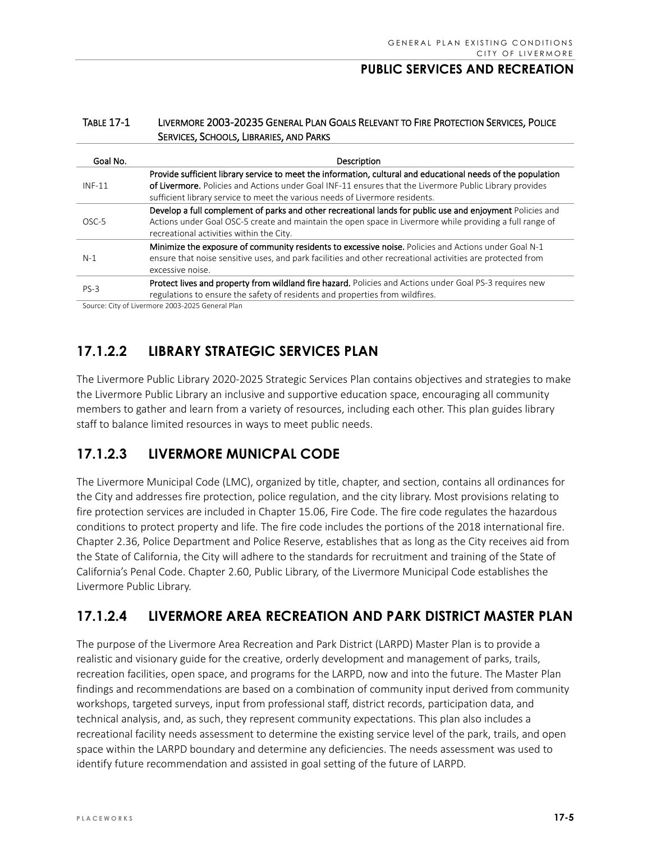#### TABLE 17-1 LIVERMORE 2003-20235 GENERAL PLAN GOALS RELEVANT TO FIRE PROTECTION SERVICES, POLICE SERVICES, SCHOOLS, LIBRARIES, AND PARKS

| Goal No. | Description                                                                                                                                                                                                                                                                                             |
|----------|---------------------------------------------------------------------------------------------------------------------------------------------------------------------------------------------------------------------------------------------------------------------------------------------------------|
| $INF-11$ | Provide sufficient library service to meet the information, cultural and educational needs of the population<br>of Livermore. Policies and Actions under Goal INF-11 ensures that the Livermore Public Library provides<br>sufficient library service to meet the various needs of Livermore residents. |
| OSC-5    | Develop a full complement of parks and other recreational lands for public use and enjoyment Policies and<br>Actions under Goal OSC-5 create and maintain the open space in Livermore while providing a full range of<br>recreational activities within the City.                                       |
| $N-1$    | Minimize the exposure of community residents to excessive noise. Policies and Actions under Goal N-1<br>ensure that noise sensitive uses, and park facilities and other recreational activities are protected from<br>excessive noise.                                                                  |
| $PS-3$   | Protect lives and property from wildland fire hazard. Policies and Actions under Goal PS-3 requires new<br>regulations to ensure the safety of residents and properties from wildfires.                                                                                                                 |

Source: City of Livermore 2003-2025 General Plan

# **17.1.2.2 LIBRARY STRATEGIC SERVICES PLAN**

The Livermore Public Library 2020-2025 Strategic Services Plan contains objectives and strategies to make the Livermore Public Library an inclusive and supportive education space, encouraging all community members to gather and learn from a variety of resources, including each other. This plan guides library staff to balance limited resources in ways to meet public needs.

## **17.1.2.3 LIVERMORE MUNICPAL CODE**

The Livermore Municipal Code (LMC), organized by title, chapter, and section, contains all ordinances for the City and addresses fire protection, police regulation, and the city library. Most provisions relating to fire protection services are included in Chapter 15.06, Fire Code. The fire code regulates the hazardous conditions to protect property and life. The fire code includes the portions of the 2018 international fire. Chapter 2.36, Police Department and Police Reserve, establishes that as long as the City receives aid from the State of California, the City will adhere to the standards for recruitment and training of the State of California's Penal Code. Chapter 2.60, Public Library, of the Livermore Municipal Code establishes the Livermore Public Library.

# **17.1.2.4 LIVERMORE AREA RECREATION AND PARK DISTRICT MASTER PLAN**

The purpose of the Livermore Area Recreation and Park District (LARPD) Master Plan is to provide a realistic and visionary guide for the creative, orderly development and management of parks, trails, recreation facilities, open space, and programs for the LARPD, now and into the future. The Master Plan findings and recommendations are based on a combination of community input derived from community workshops, targeted surveys, input from professional staff, district records, participation data, and technical analysis, and, as such, they represent community expectations. This plan also includes a recreational facility needs assessment to determine the existing service level of the park, trails, and open space within the LARPD boundary and determine any deficiencies. The needs assessment was used to identify future recommendation and assisted in goal setting of the future of LARPD.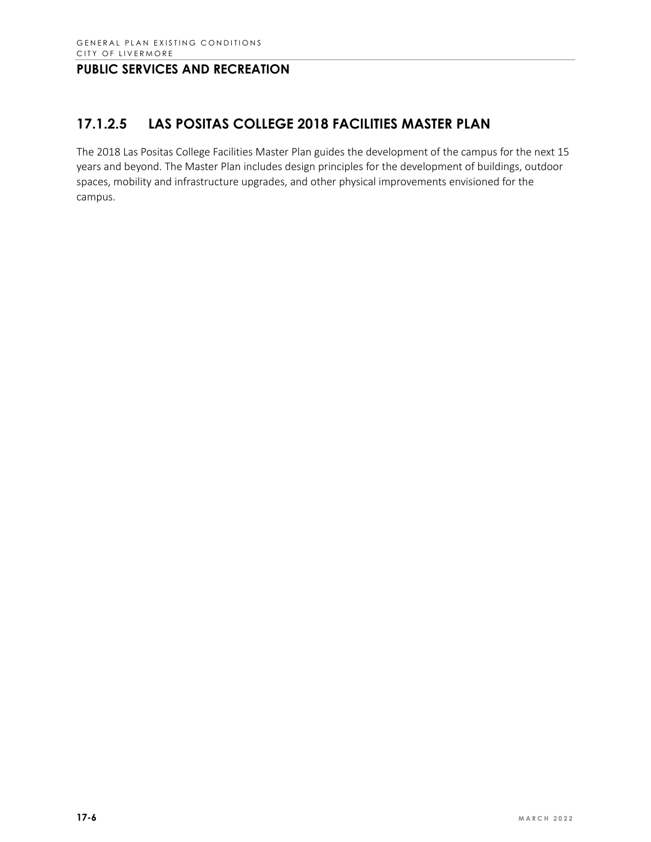# **17.1.2.5 LAS POSITAS COLLEGE 2018 FACILITIES MASTER PLAN**

The 2018 Las Positas College Facilities Master Plan guides the development of the campus for the next 15 years and beyond. The Master Plan includes design principles for the development of buildings, outdoor spaces, mobility and infrastructure upgrades, and other physical improvements envisioned for the campus.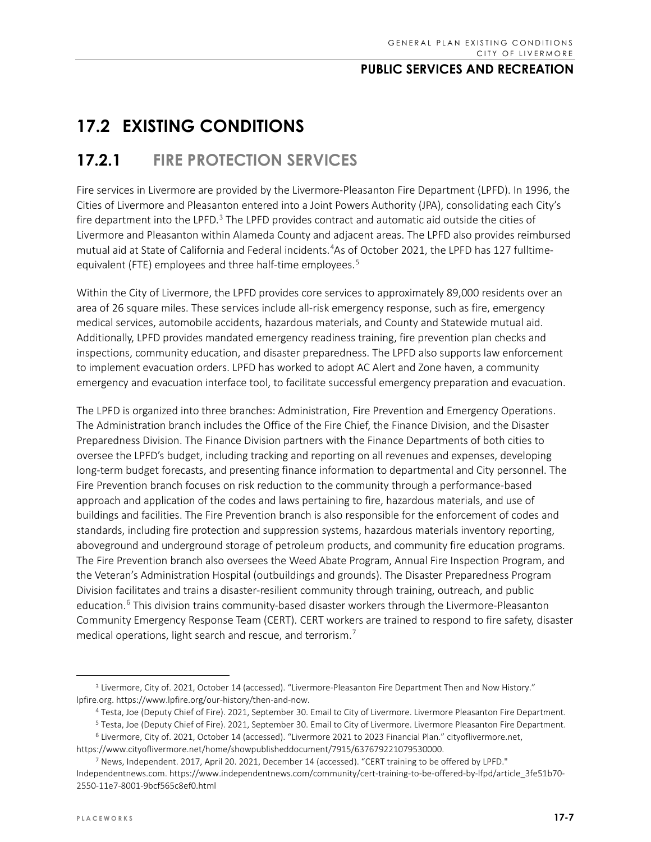# **17.2 EXISTING CONDITIONS**

# **17.2.1 FIRE PROTECTION SERVICES**

Fire services in Livermore are provided by the Livermore-Pleasanton Fire Department (LPFD). In 1996, the Cities of Livermore and Pleasanton entered into a Joint Powers Authority (JPA), consolidating each City's fire department into the LPFD. $3$  The LPFD provides contract and automatic aid outside the cities of Livermore and Pleasanton within Alameda County and adjacent areas. The LPFD also provides reimbursed mutual aid at State of California and Federal incidents. [4](#page-6-1) As of October 2021, the LPFD has 127 fulltime-equivalent (FTE) employees and three half-time employees.<sup>[5](#page-6-2)</sup>

Within the City of Livermore, the LPFD provides core services to approximately 89,000 residents over an area of 26 square miles. These services include all-risk emergency response, such as fire, emergency medical services, automobile accidents, hazardous materials, and County and Statewide mutual aid. Additionally, LPFD provides mandated emergency readiness training, fire prevention plan checks and inspections, community education, and disaster preparedness. The LPFD also supports law enforcement to implement evacuation orders. LPFD has worked to adopt AC Alert and Zone haven, a community emergency and evacuation interface tool, to facilitate successful emergency preparation and evacuation.

The LPFD is organized into three branches: Administration, Fire Prevention and Emergency Operations. The Administration branch includes the Office of the Fire Chief, the Finance Division, and the Disaster Preparedness Division. The Finance Division partners with the Finance Departments of both cities to oversee the LPFD's budget, including tracking and reporting on all revenues and expenses, developing long-term budget forecasts, and presenting finance information to departmental and City personnel. The Fire Prevention branch focuses on risk reduction to the community through a performance-based approach and application of the codes and laws pertaining to fire, hazardous materials, and use of buildings and facilities. The Fire Prevention branch is also responsible for the enforcement of codes and standards, including fire protection and suppression systems, hazardous materials inventory reporting, aboveground and underground storage of petroleum products, and community fire education programs. The Fire Prevention branch also oversees the Weed Abate Program, Annual Fire Inspection Program, and the Veteran's Administration Hospital (outbuildings and grounds). The Disaster Preparedness Program Division facilitates and trains a disaster-resilient community through training, outreach, and public education.<sup>[6](#page-6-3)</sup> This division trains community-based disaster workers through the Livermore-Pleasanton Community Emergency Response Team (CERT). CERT workers are trained to respond to fire safety, disaster medical operations, light search and rescue, and terrorism.<sup>[7](#page-6-4)</sup>

<span id="page-6-1"></span><span id="page-6-0"></span><sup>&</sup>lt;sup>3</sup> Livermore, City of. 2021, October 14 (accessed). "Livermore-Pleasanton Fire Department Then and Now History." lpfire.org. [https://www.lpfire.org/our-history/then-and-now.](https://www.lpfire.org/our-history/then-and-now) 

<sup>4</sup> Testa, Joe (Deputy Chief of Fire). 2021, September 30. Email to City of Livermore. Livermore Pleasanton Fire Department.

<sup>5</sup> Testa, Joe (Deputy Chief of Fire). 2021, September 30. Email to City of Livermore. Livermore Pleasanton Fire Department.

<span id="page-6-3"></span><span id="page-6-2"></span><sup>6</sup> Livermore, City of. 2021, October 14 (accessed). "Livermore 2021 to 2023 Financial Plan." cityoflivermore.net, [https://www.cityoflivermore.net/home/showpublisheddocument/7915/637679221079530000.](https://www.cityoflivermore.net/home/showpublisheddocument/7915/637679221079530000) 

<span id="page-6-4"></span><sup>7</sup> News, Independent. 2017, April 20. 2021, December 14 (accessed). "CERT training to be offered by LPFD." Independentnews.com. https://www.independentnews.com/community/cert-training-to-be-offered-by-lfpd/article\_3fe51b70- 2550-11e7-8001-9bcf565c8ef0.html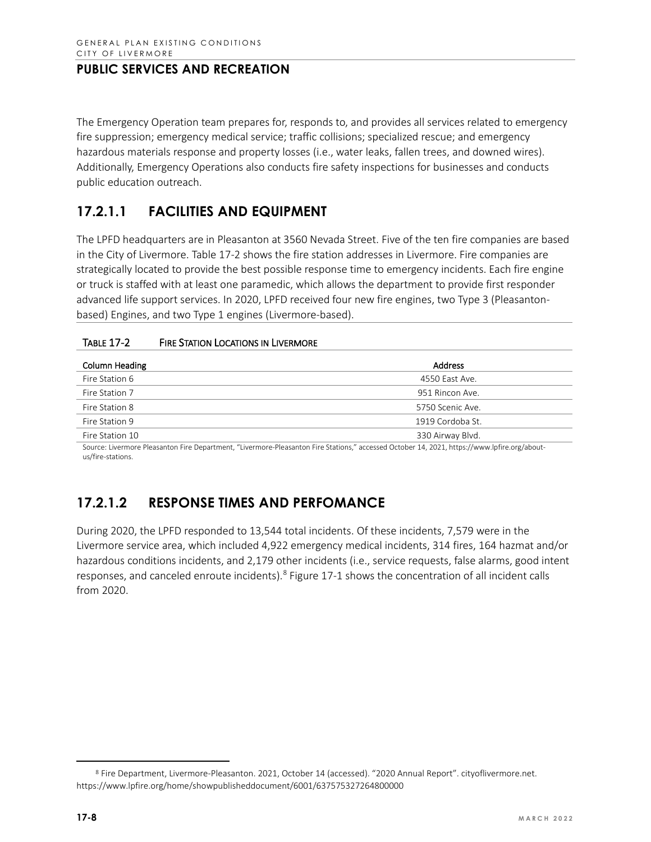The Emergency Operation team prepares for, responds to, and provides all services related to emergency fire suppression; emergency medical service; traffic collisions; specialized rescue; and emergency hazardous materials response and property losses (i.e., water leaks, fallen trees, and downed wires). Additionally, Emergency Operations also conducts fire safety inspections for businesses and conducts public education outreach.

## **17.2.1.1 FACILITIES AND EQUIPMENT**

The LPFD headquarters are in Pleasanton at 3560 Nevada Street. Five of the ten fire companies are based in the City of Livermore. Table 17-2 shows the fire station addresses in Livermore. Fire companies are strategically located to provide the best possible response time to emergency incidents. Each fire engine or truck is staffed with at least one paramedic, which allows the department to provide first responder advanced life support services. In 2020, LPFD received four new fire engines, two Type 3 (Pleasantonbased) Engines, and two Type 1 engines (Livermore-based).

| <b>Address</b>   |  |  |  |  |
|------------------|--|--|--|--|
| 4550 East Ave.   |  |  |  |  |
| 951 Rincon Ave.  |  |  |  |  |
| 5750 Scenic Ave. |  |  |  |  |
| 1919 Cordoba St. |  |  |  |  |
| 330 Airway Blvd. |  |  |  |  |
|                  |  |  |  |  |

Source: Livermore Pleasanton Fire Department, "Livermore-Pleasanton Fire Stations," accessed October 14, 2021[, https://www.lpfire.org/about](https://www.lpfire.org/about-us/fire-stations)[us/fire-stations.](https://www.lpfire.org/about-us/fire-stations)

# **17.2.1.2 RESPONSE TIMES AND PERFOMANCE**

During 2020, the LPFD responded to 13,544 total incidents. Of these incidents, 7,579 were in the Livermore service area, which included 4,922 emergency medical incidents, 314 fires, 164 hazmat and/or hazardous conditions incidents, and 2,179 other incidents (i.e., service requests, false alarms, good intent responses, and canceled enroute incidents).[8](#page-7-0) Figure 17-1 shows the concentration of all incident calls from 2020.

<span id="page-7-0"></span><sup>8</sup> Fire Department, Livermore-Pleasanton. 2021, October 14 (accessed). "2020 Annual Report". cityoflivermore.net. https://www.lpfire.org/home/showpublisheddocument/6001/637575327264800000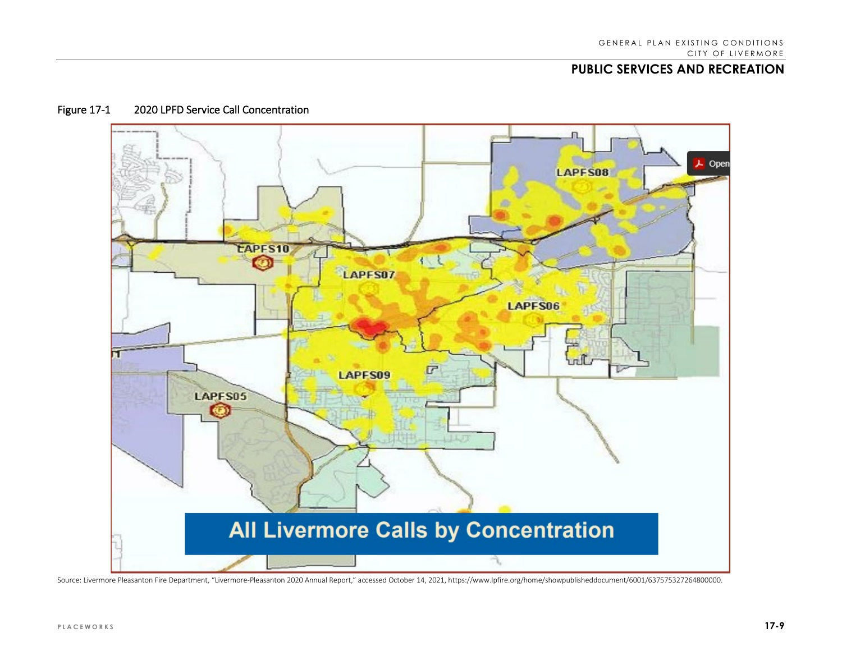

#### Figure 17-1 2020 LPFD Service Call Concentration

Source: Livermore Pleasanton Fire Department, "Livermore-Pleasanton 2020 Annual Report," accessed October 14, 2021, https://www.lpfire.org/home/showpublisheddocument/6001/637575327264800000.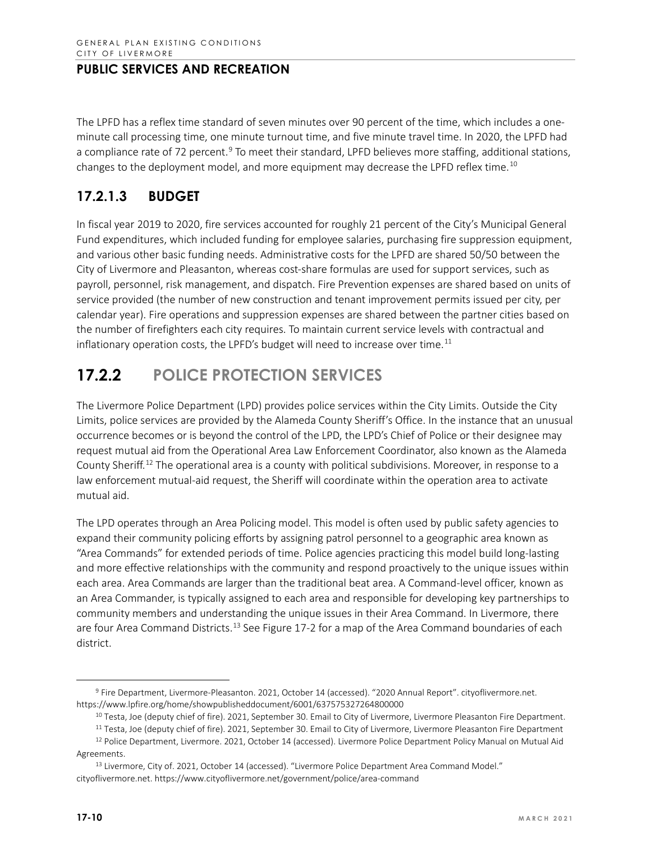The LPFD has a reflex time standard of seven minutes over 90 percent of the time, which includes a oneminute call processing time, one minute turnout time, and five minute travel time. In 2020, the LPFD had a compliance rate of 72 percent.<sup>[9](#page-9-0)</sup> To meet their standard, LPFD believes more staffing, additional stations, changes to the deployment model, and more equipment may decrease the LPFD reflex time.<sup>[10](#page-9-1)</sup>

## **17.2.1.3 BUDGET**

In fiscal year 2019 to 2020, fire services accounted for roughly 21 percent of the City's Municipal General Fund expenditures, which included funding for employee salaries, purchasing fire suppression equipment, and various other basic funding needs. Administrative costs for the LPFD are shared 50/50 between the City of Livermore and Pleasanton, whereas cost-share formulas are used for support services, such as payroll, personnel, risk management, and dispatch. Fire Prevention expenses are shared based on units of service provided (the number of new construction and tenant improvement permits issued per city, per calendar year). Fire operations and suppression expenses are shared between the partner cities based on the number of firefighters each city requires. To maintain current service levels with contractual and inflationary operation costs, the LPFD's budget will need to increase over time.<sup>[11](#page-9-2)</sup>

# **17.2.2 POLICE PROTECTION SERVICES**

The Livermore Police Department (LPD) provides police services within the City Limits. Outside the City Limits, police services are provided by the Alameda County Sheriff's Office. In the instance that an unusual occurrence becomes or is beyond the control of the LPD, the LPD's Chief of Police or their designee may request mutual aid from the Operational Area Law Enforcement Coordinator, also known as the Alameda County Sheriff.<sup>[12](#page-9-3)</sup> The operational area is a county with political subdivisions. Moreover, in response to a law enforcement mutual-aid request, the Sheriff will coordinate within the operation area to activate mutual aid.

The LPD operates through an Area Policing model. This model is often used by public safety agencies to expand their community policing efforts by assigning patrol personnel to a geographic area known as "Area Commands" for extended periods of time. Police agencies practicing this model build long-lasting and more effective relationships with the community and respond proactively to the unique issues within each area. Area Commands are larger than the traditional beat area. A Command-level officer, known as an Area Commander, is typically assigned to each area and responsible for developing key partnerships to community members and understanding the unique issues in their Area Command. In Livermore, there are four Area Command Districts.<sup>[13](#page-9-4)</sup> See Figure 17-2 for a map of the Area Command boundaries of each district.

<span id="page-9-1"></span><span id="page-9-0"></span><sup>9</sup> Fire Department, Livermore-Pleasanton. 2021, October 14 (accessed). "2020 Annual Report". cityoflivermore.net. https://www.lpfire.org/home/showpublisheddocument/6001/637575327264800000

<sup>&</sup>lt;sup>10</sup> Testa, Joe (deputy chief of fire). 2021, September 30. Email to City of Livermore, Livermore Pleasanton Fire Department.

<sup>&</sup>lt;sup>11</sup> Testa, Joe (deputy chief of fire). 2021, September 30. Email to City of Livermore, Livermore Pleasanton Fire Department

<span id="page-9-3"></span><span id="page-9-2"></span><sup>&</sup>lt;sup>12</sup> Police Department, Livermore. 2021, October 14 (accessed). Livermore Police Department Policy Manual on Mutual Aid Agreements.

<span id="page-9-4"></span><sup>13</sup> Livermore, City of. 2021, October 14 (accessed). "Livermore Police Department Area Command Model." cityoflivermore.net. https://www.cityoflivermore.net/government/police/area-command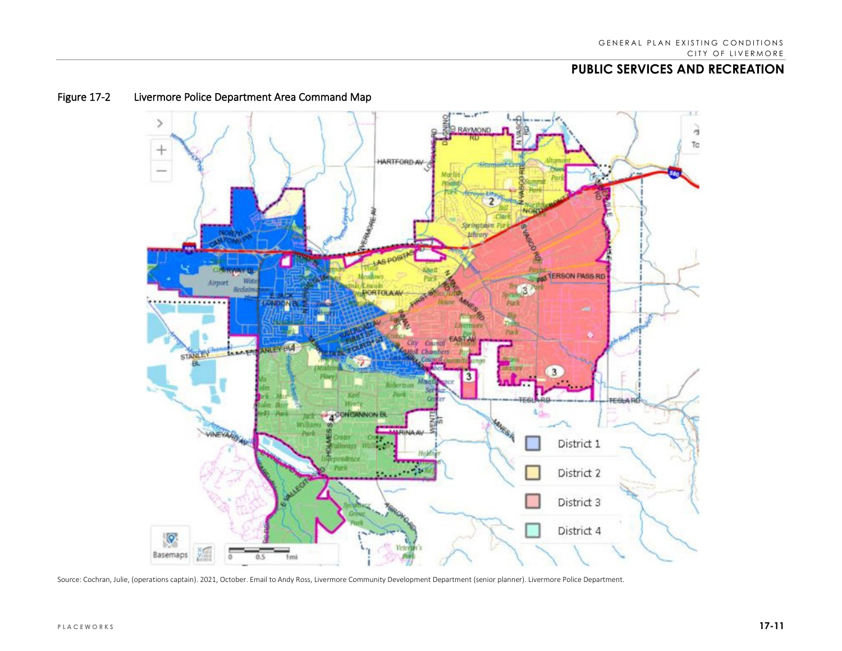

### Figure 17-2 Livermore Police Department Area Command Map

Source: Cochran, Julie, (operations captain). 2021, October. Email to Andy Ross, Livermore Community Development Department (senior planner). Livermore Police Department.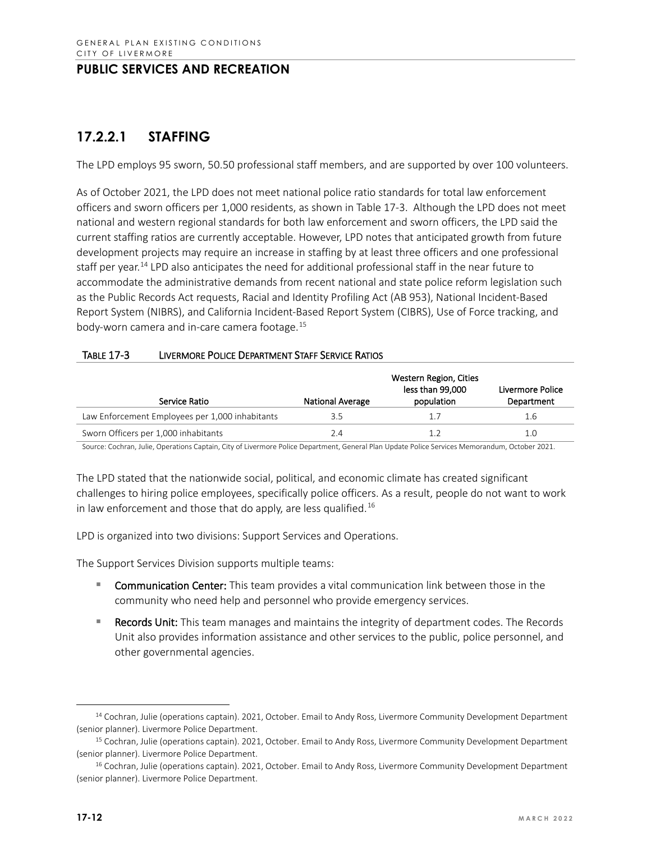# **17.2.2.1 STAFFING**

The LPD employs 95 sworn, 50.50 professional staff members, and are supported by over 100 volunteers.

As of October 2021, the LPD does not meet national police ratio standards for total law enforcement officers and sworn officers per 1,000 residents, as shown in Table 17-3. Although the LPD does not meet national and western regional standards for both law enforcement and sworn officers, the LPD said the current staffing ratios are currently acceptable. However, LPD notes that anticipated growth from future development projects may require an increase in staffing by at least three officers and one professional staff per year.<sup>[14](#page-11-0)</sup> LPD also anticipates the need for additional professional staff in the near future to accommodate the administrative demands from recent national and state police reform legislation such as the Public Records Act requests, Racial and Identity Profiling Act (AB 953), National Incident-Based Report System (NIBRS), and California Incident-Based Report System (CIBRS), Use of Force tracking, and body-worn camera and in-care camera footage.[15](#page-11-1)

| <b>TABLE 17-3</b> | LIVERMORE POLICE DEPARTMENT STAFF SERVICE RATIOS |
|-------------------|--------------------------------------------------|
|                   |                                                  |

| Service Ratio                                   | <b>National Average</b> | Western Region, Cities<br>less than 99,000<br>population | Livermore Police<br>Department |
|-------------------------------------------------|-------------------------|----------------------------------------------------------|--------------------------------|
| Law Enforcement Employees per 1,000 inhabitants | 3.5                     | 1.7                                                      | 1.6                            |
| Sworn Officers per 1,000 inhabitants            | 2.4                     |                                                          | 1.0                            |

Source: Cochran, Julie, Operations Captain, City of Livermore Police Department, General Plan Update Police Services Memorandum, October 2021.

The LPD stated that the nationwide social, political, and economic climate has created significant challenges to hiring police employees, specifically police officers. As a result, people do not want to work in law enforcement and those that do apply, are less qualified.<sup>[16](#page-11-2)</sup>

LPD is organized into two divisions: Support Services and Operations.

The Support Services Division supports multiple teams:

- **Communication Center:** This team provides a vital communication link between those in the community who need help and personnel who provide emergency services.
- Records Unit: This team manages and maintains the integrity of department codes. The Records Unit also provides information assistance and other services to the public, police personnel, and other governmental agencies.

<span id="page-11-0"></span><sup>&</sup>lt;sup>14</sup> Cochran, Julie (operations captain). 2021, October. Email to Andy Ross, Livermore Community Development Department (senior planner). Livermore Police Department.

<span id="page-11-1"></span><sup>15</sup> Cochran, Julie (operations captain). 2021, October. Email to Andy Ross, Livermore Community Development Department (senior planner). Livermore Police Department.

<span id="page-11-2"></span><sup>16</sup> Cochran, Julie (operations captain). 2021, October. Email to Andy Ross, Livermore Community Development Department (senior planner). Livermore Police Department.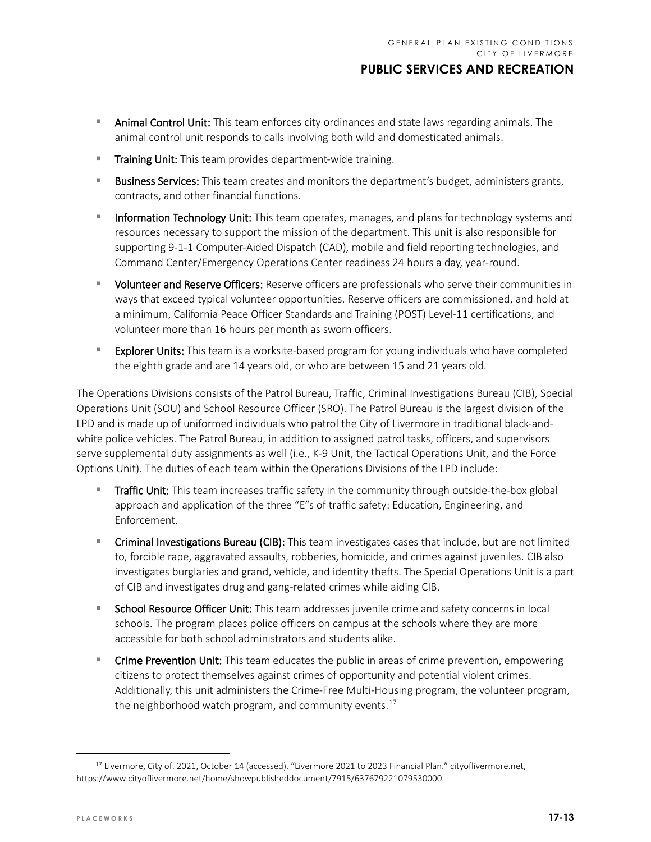- **Animal Control Unit:** This team enforces city ordinances and state laws regarding animals. The animal control unit responds to calls involving both wild and domesticated animals.
- **Training Unit:** This team provides department-wide training.
- **Business Services:** This team creates and monitors the department's budget, administers grants, contracts, and other financial functions.
- **Information Technology Unit:** This team operates, manages, and plans for technology systems and resources necessary to support the mission of the department. This unit is also responsible for supporting 9-1-1 Computer-Aided Dispatch (CAD), mobile and field reporting technologies, and Command Center/Emergency Operations Center readiness 24 hours a day, year-round.
- **UDUCA 2018 Volunteer and Reserve Officers:** Reserve officers are professionals who serve their communities in ways that exceed typical volunteer opportunities. Reserve officers are commissioned, and hold at a minimum, California Peace Officer Standards and Training (POST) Level-11 certifications, and volunteer more than 16 hours per month as sworn officers.
- **Explorer Units:** This team is a worksite-based program for young individuals who have completed the eighth grade and are 14 years old, or who are between 15 and 21 years old.

The Operations Divisions consists of the Patrol Bureau, Traffic, Criminal Investigations Bureau (CIB), Special Operations Unit (SOU) and School Resource Officer (SRO). The Patrol Bureau is the largest division of the LPD and is made up of uniformed individuals who patrol the City of Livermore in traditional black-andwhite police vehicles. The Patrol Bureau, in addition to assigned patrol tasks, officers, and supervisors serve supplemental duty assignments as well (i.e., K-9 Unit, the Tactical Operations Unit, and the Force Options Unit). The duties of each team within the Operations Divisions of the LPD include:

- Traffic Unit: This team increases traffic safety in the community through outside-the-box global approach and application of the three "E"s of traffic safety: Education, Engineering, and Enforcement.
- **EXPLO THE INVERTY CORREGENT IN STATE IN STATE IN STATE INTERED** Criminal Include, but are not limited to, forcible rape, aggravated assaults, robberies, homicide, and crimes against juveniles. CIB also investigates burglaries and grand, vehicle, and identity thefts. The Special Operations Unit is a part of CIB and investigates drug and gang-related crimes while aiding CIB.
- **School Resource Officer Unit:** This team addresses juvenile crime and safety concerns in local schools. The program places police officers on campus at the schools where they are more accessible for both school administrators and students alike.
- Crime Prevention Unit: This team educates the public in areas of crime prevention, empowering citizens to protect themselves against crimes of opportunity and potential violent crimes. Additionally, this unit administers the Crime-Free Multi-Housing program, the volunteer program, the neighborhood watch program, and community events. $17$

<span id="page-12-0"></span><sup>17</sup> Livermore, City of. 2021, October 14 (accessed). "Livermore 2021 to 2023 Financial Plan." cityoflivermore.net, https://www.cityoflivermore.net/home/showpublisheddocument/7915/637679221079530000.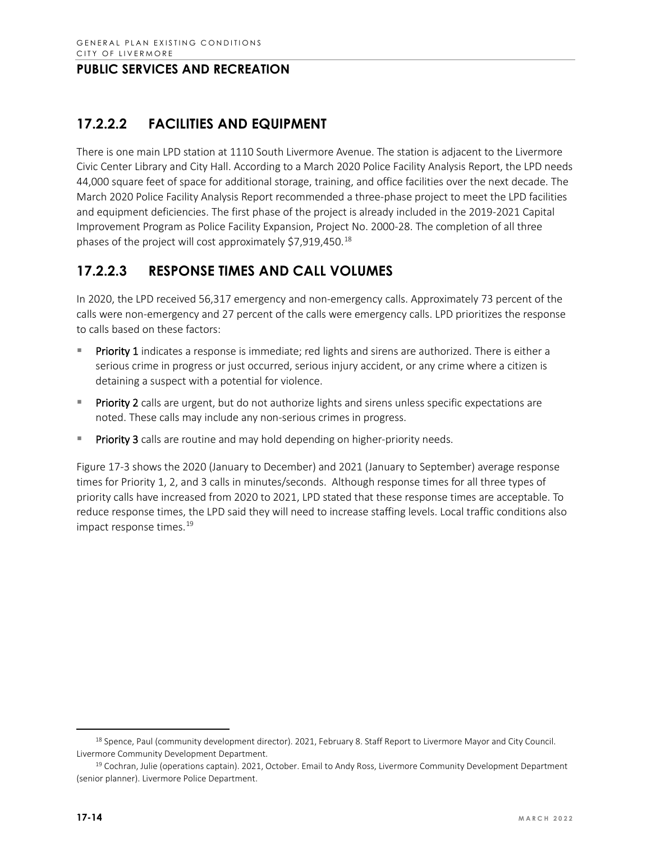# **17.2.2.2 FACILITIES AND EQUIPMENT**

There is one main LPD station at 1110 South Livermore Avenue. The station is adjacent to the Livermore Civic Center Library and City Hall. According to a March 2020 Police Facility Analysis Report, the LPD needs 44,000 square feet of space for additional storage, training, and office facilities over the next decade. The March 2020 Police Facility Analysis Report recommended a three-phase project to meet the LPD facilities and equipment deficiencies. The first phase of the project is already included in the 2019-2021 Capital Improvement Program as Police Facility Expansion, Project No. 2000-28. The completion of all three phases of the project will cost approximately  $$7,919,450$ .<sup>[18](#page-13-0)</sup>

## **17.2.2.3 RESPONSE TIMES AND CALL VOLUMES**

In 2020, the LPD received 56,317 emergency and non-emergency calls. Approximately 73 percent of the calls were non-emergency and 27 percent of the calls were emergency calls. LPD prioritizes the response to calls based on these factors:

- Priority 1 indicates a response is immediate; red lights and sirens are authorized. There is either a serious crime in progress or just occurred, serious injury accident, or any crime where a citizen is detaining a suspect with a potential for violence.
- Priority 2 calls are urgent, but do not authorize lights and sirens unless specific expectations are noted. These calls may include any non-serious crimes in progress.
- **Priority 3** calls are routine and may hold depending on higher-priority needs.

Figure 17-3 shows the 2020 (January to December) and 2021 (January to September) average response times for Priority 1, 2, and 3 calls in minutes/seconds. Although response times for all three types of priority calls have increased from 2020 to 2021, LPD stated that these response times are acceptable. To reduce response times, the LPD said they will need to increase staffing levels. Local traffic conditions also impact response times. [19](#page-13-1)

<span id="page-13-0"></span><sup>&</sup>lt;sup>18</sup> Spence, Paul (community development director). 2021, February 8. Staff Report to Livermore Mayor and City Council. Livermore Community Development Department.

<span id="page-13-1"></span><sup>19</sup> Cochran, Julie (operations captain). 2021, October. Email to Andy Ross, Livermore Community Development Department (senior planner). Livermore Police Department.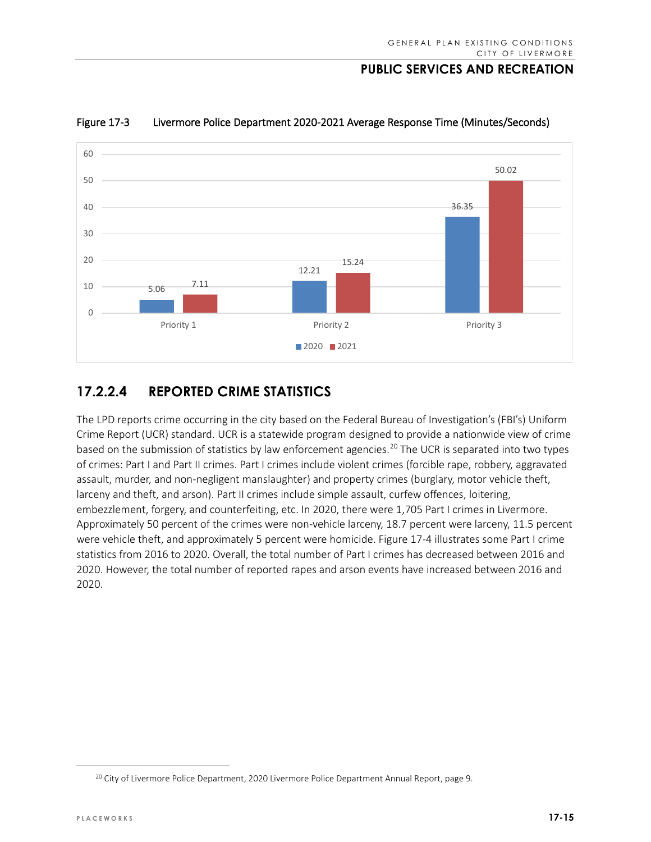

Figure 17-3 Livermore Police Department 2020-2021 Average Response Time (Minutes/Seconds)

## **17.2.2.4 REPORTED CRIME STATISTICS**

The LPD reports crime occurring in the city based on the Federal Bureau of Investigation's (FBI's) Uniform Crime Report (UCR) standard. UCR is a statewide program designed to provide a nationwide view of crime based on the submission of statistics by law enforcement agencies.<sup>[20](#page-14-0)</sup> The UCR is separated into two types of crimes: Part I and Part II crimes. Part I crimes include violent crimes (forcible rape, robbery, aggravated assault, murder, and non-negligent manslaughter) and property crimes (burglary, motor vehicle theft, larceny and theft, and arson). Part II crimes include simple assault, curfew offences, loitering, embezzlement, forgery, and counterfeiting, etc. In 2020, there were 1,705 Part I crimes in Livermore. Approximately 50 percent of the crimes were non-vehicle larceny, 18.7 percent were larceny, 11.5 percent were vehicle theft, and approximately 5 percent were homicide. Figure 17-4 illustrates some Part I crime statistics from 2016 to 2020. Overall, the total number of Part I crimes has decreased between 2016 and 2020. However, the total number of reported rapes and arson events have increased between 2016 and 2020.

<span id="page-14-0"></span><sup>&</sup>lt;sup>20</sup> City of Livermore Police Department, 2020 Livermore Police Department Annual Report, page 9.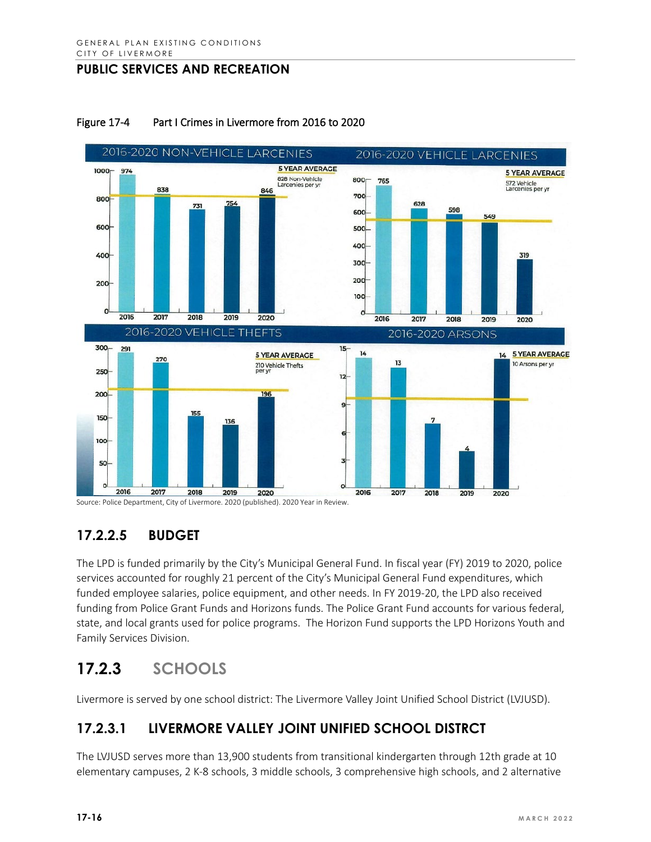

#### Figure 17-4 Part I Crimes in Livermore from 2016 to 2020

Source: Police Department, City of Livermore. 2020 (published). 2020 Year in Review.

# **17.2.2.5 BUDGET**

The LPD is funded primarily by the City's Municipal General Fund. In fiscal year (FY) 2019 to 2020, police services accounted for roughly 21 percent of the City's Municipal General Fund expenditures, which funded employee salaries, police equipment, and other needs. In FY 2019-20, the LPD also received funding from Police Grant Funds and Horizons funds. The Police Grant Fund accounts for various federal, state, and local grants used for police programs. The Horizon Fund supports the LPD Horizons Youth and Family Services Division.

# **17.2.3 SCHOOLS**

Livermore is served by one school district: The Livermore Valley Joint Unified School District (LVJUSD).

# **17.2.3.1 LIVERMORE VALLEY JOINT UNIFIED SCHOOL DISTRCT**

The LVJUSD serves more than 13,900 students from transitional kindergarten through 12th grade at 10 elementary campuses, 2 K-8 schools, 3 middle schools, 3 comprehensive high schools, and 2 alternative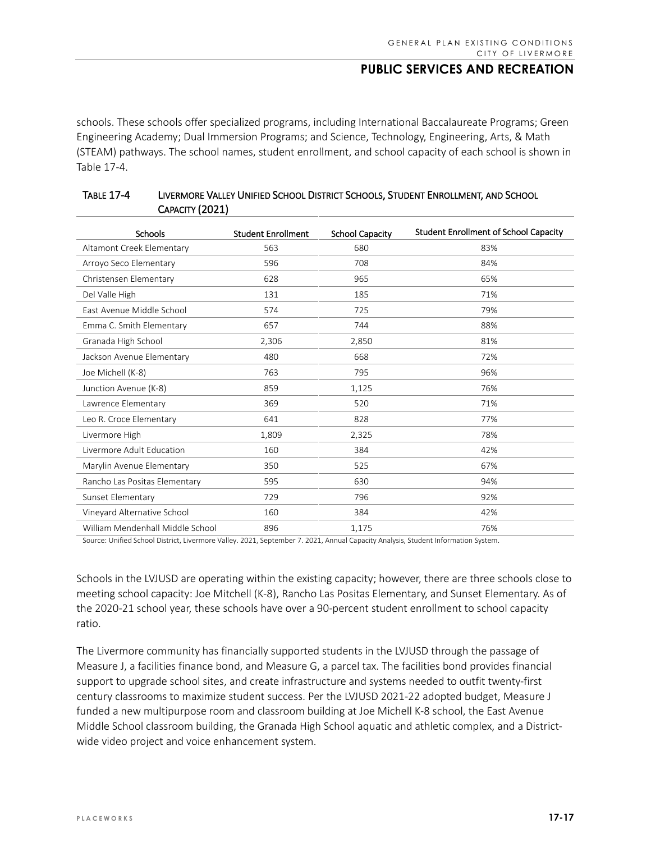schools. These schools offer specialized programs, including International Baccalaureate Programs; Green Engineering Academy; Dual Immersion Programs; and Science, Technology, Engineering, Arts, & Math (STEAM) pathways. The school names, student enrollment, and school capacity of each school is shown in Table 17-4.

| <b>Schools</b>                   | <b>Student Enrollment</b> | <b>School Capacity</b> | <b>Student Enrollment of School Capacity</b> |
|----------------------------------|---------------------------|------------------------|----------------------------------------------|
| Altamont Creek Elementary        | 563                       | 680                    | 83%                                          |
| Arroyo Seco Elementary           | 596                       | 708                    | 84%                                          |
| Christensen Elementary           | 628                       | 965                    | 65%                                          |
| Del Valle High                   | 131                       | 185                    | 71%                                          |
| East Avenue Middle School        | 574                       | 725                    | 79%                                          |
| Emma C. Smith Elementary         | 657                       | 744                    | 88%                                          |
| Granada High School              | 2,306                     | 2,850                  | 81%                                          |
| Jackson Avenue Elementary        | 480                       | 668                    | 72%                                          |
| Joe Michell (K-8)                | 763                       | 795                    | 96%                                          |
| Junction Avenue (K-8)            | 859                       | 1,125                  | 76%                                          |
| Lawrence Elementary              | 369                       | 520                    | 71%                                          |
| Leo R. Croce Elementary          | 641                       | 828                    | 77%                                          |
| Livermore High                   | 1,809                     | 2,325                  | 78%                                          |
| Livermore Adult Education        | 160                       | 384                    | 42%                                          |
| Marylin Avenue Elementary        | 350                       | 525                    | 67%                                          |
| Rancho Las Positas Elementary    | 595                       | 630                    | 94%                                          |
| Sunset Elementary                | 729                       | 796                    | 92%                                          |
| Vineyard Alternative School      | 160                       | 384                    | 42%                                          |
| William Mendenhall Middle School | 896                       | 1,175                  | 76%                                          |

#### TABLE 17-4 LIVERMORE VALLEY UNIFIED SCHOOL DISTRICT SCHOOLS, STUDENT ENROLLMENT, AND SCHOOL CAPACITY (2021)

Source: Unified School District, Livermore Valley. 2021, September 7. 2021, Annual Capacity Analysis, Student Information System.

Schools in the LVJUSD are operating within the existing capacity; however, there are three schools close to meeting school capacity: Joe Mitchell (K-8), Rancho Las Positas Elementary, and Sunset Elementary. As of the 2020-21 school year, these schools have over a 90-percent student enrollment to school capacity ratio.

The Livermore community has financially supported students in the LVJUSD through the passage of Measure J, a facilities finance bond, and Measure G, a parcel tax. The facilities bond provides financial support to upgrade school sites, and create infrastructure and systems needed to outfit twenty-first century classrooms to maximize student success. Per the LVJUSD 2021-22 adopted budget, Measure J funded a new multipurpose room and classroom building at Joe Michell K-8 school, the East Avenue Middle School classroom building, the Granada High School aquatic and athletic complex, and a Districtwide video project and voice enhancement system.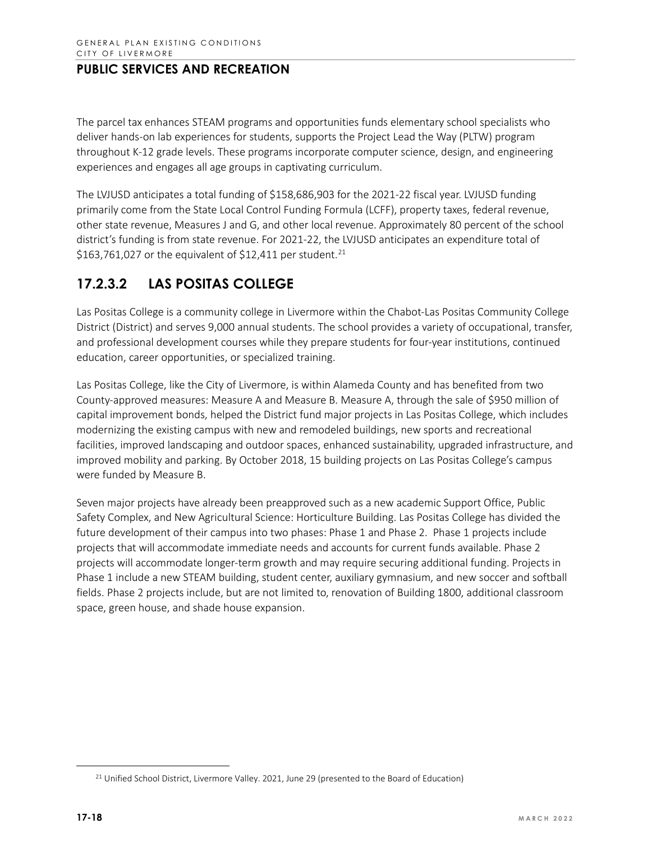The parcel tax enhances STEAM programs and opportunities funds elementary school specialists who deliver hands-on lab experiences for students, supports the Project Lead the Way (PLTW) program throughout K-12 grade levels. These programs incorporate computer science, design, and engineering experiences and engages all age groups in captivating curriculum.

The LVJUSD anticipates a total funding of \$158,686,903 for the 2021-22 fiscal year. LVJUSD funding primarily come from the State Local Control Funding Formula (LCFF), property taxes, federal revenue, other state revenue, Measures J and G, and other local revenue. Approximately 80 percent of the school district's funding is from state revenue. For 2021-22, the LVJUSD anticipates an expenditure total of \$163,761,027 or the equivalent of \$12,411 per student.<sup>[21](#page-17-0)</sup>

# **17.2.3.2 LAS POSITAS COLLEGE**

Las Positas College is a community college in Livermore within the Chabot-Las Positas Community College District (District) and serves 9,000 annual students. The school provides a variety of occupational, transfer, and professional development courses while they prepare students for four-year institutions, continued education, career opportunities, or specialized training.

Las Positas College, like the City of Livermore, is within Alameda County and has benefited from two County-approved measures: Measure A and Measure B. Measure A, through the sale of \$950 million of capital improvement bonds, helped the District fund major projects in Las Positas College, which includes modernizing the existing campus with new and remodeled buildings, new sports and recreational facilities, improved landscaping and outdoor spaces, enhanced sustainability, upgraded infrastructure, and improved mobility and parking. By October 2018, 15 building projects on Las Positas College's campus were funded by Measure B.

Seven major projects have already been preapproved such as a new academic Support Office, Public Safety Complex, and New Agricultural Science: Horticulture Building. Las Positas College has divided the future development of their campus into two phases: Phase 1 and Phase 2. Phase 1 projects include projects that will accommodate immediate needs and accounts for current funds available. Phase 2 projects will accommodate longer-term growth and may require securing additional funding. Projects in Phase 1 include a new STEAM building, student center, auxiliary gymnasium, and new soccer and softball fields. Phase 2 projects include, but are not limited to, renovation of Building 1800, additional classroom space, green house, and shade house expansion.

<span id="page-17-0"></span><sup>&</sup>lt;sup>21</sup> Unified School District, Livermore Valley. 2021, June 29 (presented to the Board of Education)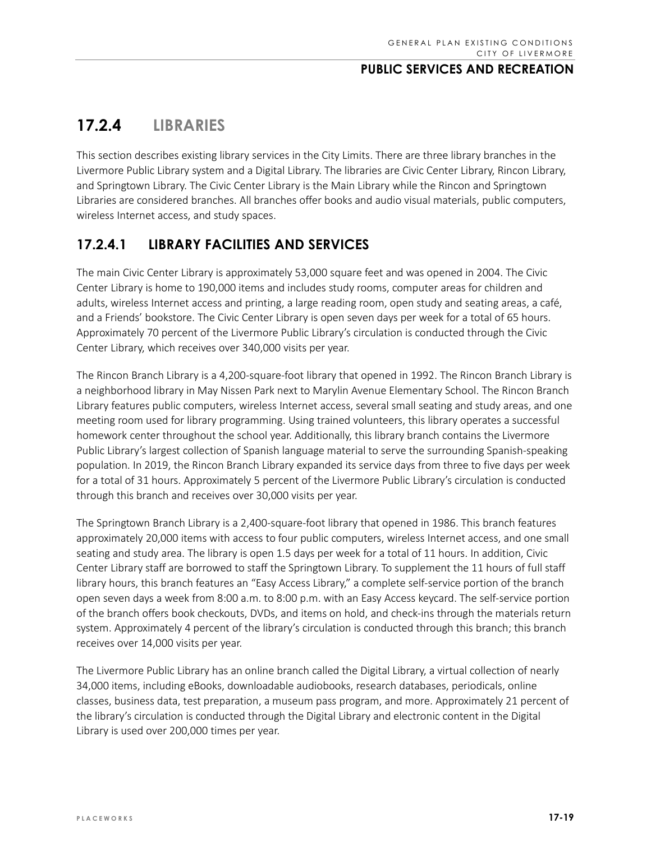# **17.2.4 LIBRARIES**

This section describes existing library services in the City Limits. There are three library branches in the Livermore Public Library system and a Digital Library. The libraries are Civic Center Library, Rincon Library, and Springtown Library. The Civic Center Library is the Main Library while the Rincon and Springtown Libraries are considered branches. All branches offer books and audio visual materials, public computers, wireless Internet access, and study spaces.

# **17.2.4.1 LIBRARY FACILITIES AND SERVICES**

The main Civic Center Library is approximately 53,000 square feet and was opened in 2004. The Civic Center Library is home to 190,000 items and includes study rooms, computer areas for children and adults, wireless Internet access and printing, a large reading room, open study and seating areas, a café, and a Friends' bookstore. The Civic Center Library is open seven days per week for a total of 65 hours. Approximately 70 percent of the Livermore Public Library's circulation is conducted through the Civic Center Library, which receives over 340,000 visits per year.

The Rincon Branch Library is a 4,200-square-foot library that opened in 1992. The Rincon Branch Library is a neighborhood library in May Nissen Park next to Marylin Avenue Elementary School. The Rincon Branch Library features public computers, wireless Internet access, several small seating and study areas, and one meeting room used for library programming. Using trained volunteers, this library operates a successful homework center throughout the school year. Additionally, this library branch contains the Livermore Public Library's largest collection of Spanish language material to serve the surrounding Spanish-speaking population. In 2019, the Rincon Branch Library expanded its service days from three to five days per week for a total of 31 hours. Approximately 5 percent of the Livermore Public Library's circulation is conducted through this branch and receives over 30,000 visits per year.

The Springtown Branch Library is a 2,400-square-foot library that opened in 1986. This branch features approximately 20,000 items with access to four public computers, wireless Internet access, and one small seating and study area. The library is open 1.5 days per week for a total of 11 hours. In addition, Civic Center Library staff are borrowed to staff the Springtown Library. To supplement the 11 hours of full staff library hours, this branch features an "Easy Access Library," a complete self-service portion of the branch open seven days a week from 8:00 a.m. to 8:00 p.m. with an Easy Access keycard. The self-service portion of the branch offers book checkouts, DVDs, and items on hold, and check-ins through the materials return system. Approximately 4 percent of the library's circulation is conducted through this branch; this branch receives over 14,000 visits per year.

The Livermore Public Library has an online branch called the Digital Library, a virtual collection of nearly 34,000 items, including eBooks, downloadable audiobooks, research databases, periodicals, online classes, business data, test preparation, a museum pass program, and more. Approximately 21 percent of the library's circulation is conducted through the Digital Library and electronic content in the Digital Library is used over 200,000 times per year.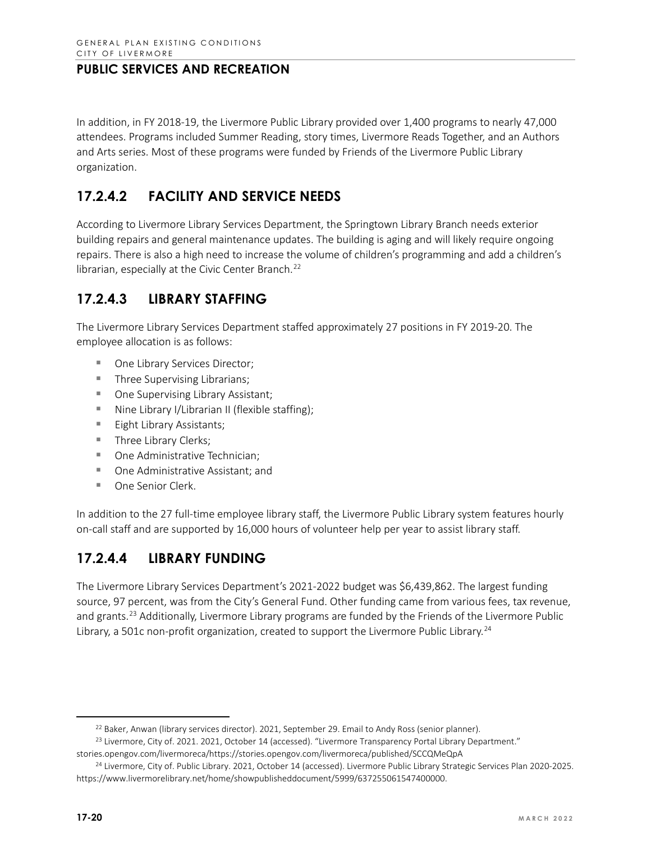In addition, in FY 2018-19, the Livermore Public Library provided over 1,400 programs to nearly 47,000 attendees. Programs included Summer Reading, story times, Livermore Reads Together, and an Authors and Arts series. Most of these programs were funded by Friends of the Livermore Public Library organization.

# **17.2.4.2 FACILITY AND SERVICE NEEDS**

According to Livermore Library Services Department, the Springtown Library Branch needs exterior building repairs and general maintenance updates. The building is aging and will likely require ongoing repairs. There is also a high need to increase the volume of children's programming and add a children's librarian, especially at the Civic Center Branch.<sup>[22](#page-19-0)</sup>

## **17.2.4.3 LIBRARY STAFFING**

The Livermore Library Services Department staffed approximately 27 positions in FY 2019-20. The employee allocation is as follows:

- One Library Services Director;
- **Three Supervising Librarians;**
- One Supervising Library Assistant;
- $\blacksquare$  Nine Library I/Librarian II (flexible staffing);
- **Eight Library Assistants;**
- **Three Library Clerks;**
- One Administrative Technician;
- One Administrative Assistant; and
- One Senior Clerk.

In addition to the 27 full-time employee library staff, the Livermore Public Library system features hourly on-call staff and are supported by 16,000 hours of volunteer help per year to assist library staff.

## **17.2.4.4 LIBRARY FUNDING**

The Livermore Library Services Department's 2021-2022 budget was \$6,439,862. The largest funding source, 97 percent, was from the City's General Fund. Other funding came from various fees, tax revenue, and grants.<sup>[23](#page-19-1)</sup> Additionally, Livermore Library programs are funded by the Friends of the Livermore Public Library, a 501c non-profit organization, created to support the Livermore Public Library.<sup>[24](#page-19-2)</sup>

<sup>&</sup>lt;sup>22</sup> Baker, Anwan (library services director). 2021, September 29. Email to Andy Ross (senior planner).

<span id="page-19-0"></span><sup>&</sup>lt;sup>23</sup> Livermore, City of. 2021. 2021, October 14 (accessed). "Livermore Transparency Portal Library Department."

<span id="page-19-1"></span>stories.opengov.com/livermoreca/https://stories.opengov.com/livermoreca/published/SCCQMeQpA <sup>24</sup> Livermore, City of. Public Library. 2021, October 14 (accessed). Livermore Public Library Strategic Services Plan 2020-2025.

<span id="page-19-2"></span>[https://www.livermorelibrary.net/home/showpublisheddocument/5999/637255061547400000.](https://www.livermorelibrary.net/home/showpublisheddocument/5999/637255061547400000)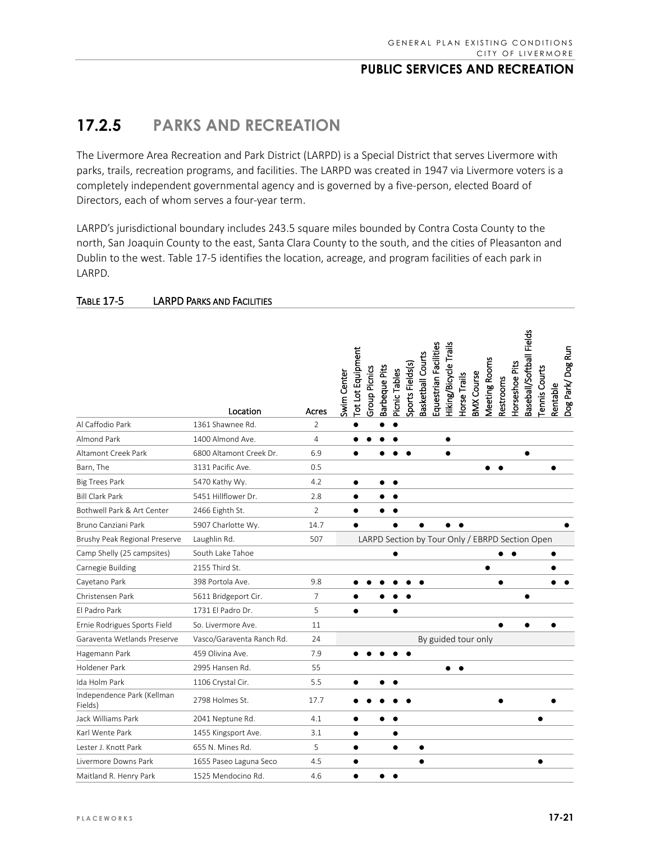# **17.2.5 PARKS AND RECREATION**

The Livermore Area Recreation and Park District (LARPD) is a Special District that serves Livermore with parks, trails, recreation programs, and facilities. The LARPD was created in 1947 via Livermore voters is a completely independent governmental agency and is governed by a five-person, elected Board of Directors, each of whom serves a four-year term.

LARPD's jurisdictional boundary includes 243.5 square miles bounded by Contra Costa County to the north, San Joaquin County to the east, Santa Clara County to the south, and the cities of Pleasanton and Dublin to the west. Table 17-5 identifies the location, acreage, and program facilities of each park in LARPD.

|                                       | Location                  | Acres          | Baseball/Softball Fields<br>Equestrian Facilities<br><b>Hiking/Bicycle Trails</b><br>Dog Park/Dog Run<br>Tot Lot Equipment<br>Basketball Courts<br>Meeting Rooms<br><b>Horseshoe Pits</b><br>Sports Fields(s)<br>Barbeque Pits<br>Tennis Courts<br>Group Picnics<br>Picnic Tables<br>Swim Center<br><b>3MX Course</b><br><b>Torse Trails</b><br>Restrooms<br>Rentable |
|---------------------------------------|---------------------------|----------------|-----------------------------------------------------------------------------------------------------------------------------------------------------------------------------------------------------------------------------------------------------------------------------------------------------------------------------------------------------------------------|
| Al Caffodio Park                      | 1361 Shawnee Rd.          | $\overline{2}$ |                                                                                                                                                                                                                                                                                                                                                                       |
| <b>Almond Park</b>                    | 1400 Almond Ave.          | 4              | $\bullet$                                                                                                                                                                                                                                                                                                                                                             |
| Altamont Creek Park                   | 6800 Altamont Creek Dr.   | 6.9            | $\bullet$                                                                                                                                                                                                                                                                                                                                                             |
| Barn, The                             | 3131 Pacific Ave.         | 0.5            |                                                                                                                                                                                                                                                                                                                                                                       |
| <b>Big Trees Park</b>                 | 5470 Kathy Wy.            | 4.2            | $\bullet$<br>$\bullet$                                                                                                                                                                                                                                                                                                                                                |
| <b>Bill Clark Park</b>                | 5451 Hillflower Dr.       | 2.8            |                                                                                                                                                                                                                                                                                                                                                                       |
| Bothwell Park & Art Center            | 2466 Eighth St.           | $\overline{2}$ |                                                                                                                                                                                                                                                                                                                                                                       |
| Bruno Canziani Park                   | 5907 Charlotte Wy.        | 14.7           |                                                                                                                                                                                                                                                                                                                                                                       |
| Brushy Peak Regional Preserve         | Laughlin Rd.              | 507            | LARPD Section by Tour Only / EBRPD Section Open                                                                                                                                                                                                                                                                                                                       |
| Camp Shelly (25 campsites)            | South Lake Tahoe          |                |                                                                                                                                                                                                                                                                                                                                                                       |
| Carnegie Building                     | 2155 Third St.            |                | $\bullet$                                                                                                                                                                                                                                                                                                                                                             |
| Cayetano Park                         | 398 Portola Ave.          | 9.8            | ٠                                                                                                                                                                                                                                                                                                                                                                     |
| Christensen Park                      | 5611 Bridgeport Cir.      | 7              |                                                                                                                                                                                                                                                                                                                                                                       |
| Fl Padro Park                         | 1731 Fl Padro Dr.         | 5              |                                                                                                                                                                                                                                                                                                                                                                       |
| Ernie Rodrigues Sports Field          | So. Livermore Ave.        | 11             |                                                                                                                                                                                                                                                                                                                                                                       |
| Garaventa Wetlands Preserve           | Vasco/Garaventa Ranch Rd. | 24             | By guided tour only                                                                                                                                                                                                                                                                                                                                                   |
| Hagemann Park                         | 459 Olivina Ave.          | 7.9            |                                                                                                                                                                                                                                                                                                                                                                       |
| Holdener Park                         | 2995 Hansen Rd.           | 55             |                                                                                                                                                                                                                                                                                                                                                                       |
| Ida Holm Park                         | 1106 Crystal Cir.         | 5.5            |                                                                                                                                                                                                                                                                                                                                                                       |
| Independence Park (Kellman<br>Fields) | 2798 Holmes St.           | 17.7           |                                                                                                                                                                                                                                                                                                                                                                       |
| Jack Williams Park                    | 2041 Neptune Rd.          | 4.1            |                                                                                                                                                                                                                                                                                                                                                                       |
| Karl Wente Park                       | 1455 Kingsport Ave.       | 3.1            |                                                                                                                                                                                                                                                                                                                                                                       |
| Lester J. Knott Park                  | 655 N. Mines Rd.          | 5              |                                                                                                                                                                                                                                                                                                                                                                       |
| Livermore Downs Park                  | 1655 Paseo Laguna Seco    | 4.5            | $\bullet$<br>$\bullet$                                                                                                                                                                                                                                                                                                                                                |
| Maitland R. Henry Park                | 1525 Mendocino Rd.        | 4.6            |                                                                                                                                                                                                                                                                                                                                                                       |

#### TABLE 17-5 LARPD PARKS AND FACILITIES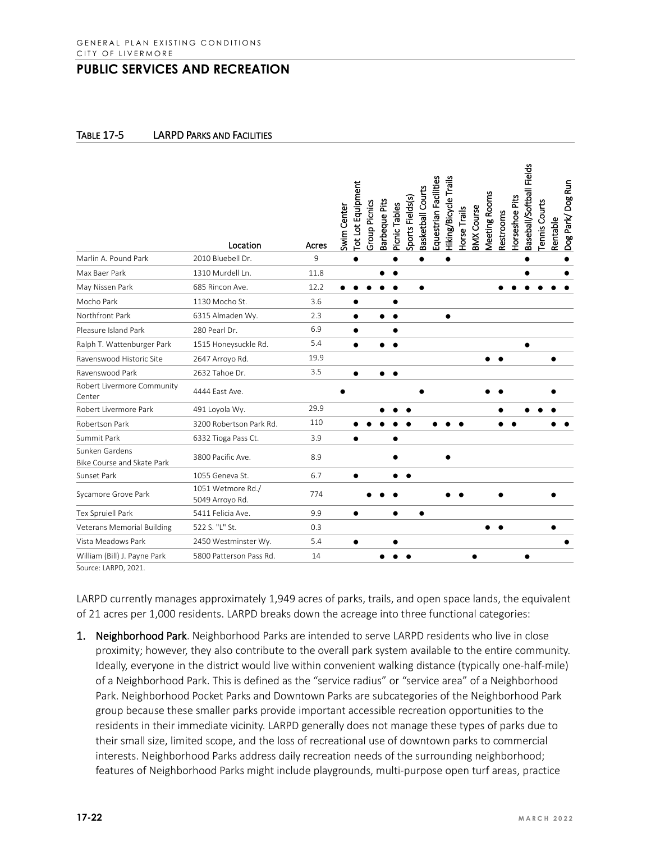#### TABLE 17-5 LARPD PARKS AND FACILITIES

|                                                     | Location                             | Acres | Swim Center | Tot Lot Equipment<br>Group Picnics | Barbeque Pits | Picnic Tables | Sports Fields(s) | Basketball Courts | Equestrian Facilities | Hiking/Bicycle Trails | Horse Trails | <b>BMX Course</b> | Meeting Rooms | Restrooms | Horseshoe Pits | Baseball/Softball Fields | <b>Tennis Courts</b> | Rentable | Dog Park/Dog Run |
|-----------------------------------------------------|--------------------------------------|-------|-------------|------------------------------------|---------------|---------------|------------------|-------------------|-----------------------|-----------------------|--------------|-------------------|---------------|-----------|----------------|--------------------------|----------------------|----------|------------------|
| Marlin A. Pound Park                                | 2010 Bluebell Dr.                    | 9     |             |                                    |               |               |                  |                   |                       |                       |              |                   |               |           |                |                          |                      |          |                  |
| Max Baer Park                                       | 1310 Murdell Ln.                     | 11.8  |             |                                    |               |               |                  |                   |                       |                       |              |                   |               |           |                |                          |                      |          |                  |
| May Nissen Park                                     | 685 Rincon Ave.                      | 12.2  |             |                                    |               |               |                  |                   |                       |                       |              |                   |               |           |                |                          |                      |          |                  |
| Mocho Park                                          | 1130 Mocho St.                       | 3.6   |             |                                    |               |               |                  |                   |                       |                       |              |                   |               |           |                |                          |                      |          |                  |
| Northfront Park                                     | 6315 Almaden Wy.                     | 2.3   |             |                                    |               |               |                  |                   |                       |                       |              |                   |               |           |                |                          |                      |          |                  |
| Pleasure Island Park                                | 280 Pearl Dr.                        | 6.9   |             |                                    |               |               |                  |                   |                       |                       |              |                   |               |           |                |                          |                      |          |                  |
| Ralph T. Wattenburger Park                          | 1515 Honeysuckle Rd.                 | 5.4   |             | $\bullet$                          |               |               |                  |                   |                       |                       |              |                   |               |           |                | $\bullet$                |                      |          |                  |
| Ravenswood Historic Site                            | 2647 Arroyo Rd.                      | 19.9  |             |                                    |               |               |                  |                   |                       |                       |              |                   |               |           |                |                          |                      |          |                  |
| Ravenswood Park                                     | 2632 Tahoe Dr.                       | 3.5   |             |                                    |               |               |                  |                   |                       |                       |              |                   |               |           |                |                          |                      |          |                  |
| Robert Livermore Community<br>Center                | 4444 East Ave.                       |       |             |                                    |               |               |                  |                   |                       |                       |              |                   |               |           |                |                          |                      |          |                  |
| Robert Livermore Park                               | 491 Loyola Wy.                       | 29.9  |             |                                    |               |               |                  |                   |                       |                       |              |                   |               |           |                |                          |                      |          |                  |
| Robertson Park                                      | 3200 Robertson Park Rd.              | 110   |             |                                    |               |               |                  |                   |                       |                       |              |                   |               |           |                |                          |                      |          |                  |
| Summit Park                                         | 6332 Tioga Pass Ct.                  | 3.9   |             |                                    |               |               |                  |                   |                       |                       |              |                   |               |           |                |                          |                      |          |                  |
| Sunken Gardens<br><b>Bike Course and Skate Park</b> | 3800 Pacific Ave.                    | 8.9   |             |                                    |               |               |                  |                   |                       |                       |              |                   |               |           |                |                          |                      |          |                  |
| Sunset Park                                         | 1055 Geneva St.                      | 6.7   |             |                                    |               |               |                  |                   |                       |                       |              |                   |               |           |                |                          |                      |          |                  |
| Sycamore Grove Park                                 | 1051 Wetmore Rd./<br>5049 Arroyo Rd. | 774   |             |                                    |               |               |                  |                   |                       |                       |              |                   |               |           |                |                          |                      |          |                  |
| Tex Spruiell Park                                   | 5411 Felicia Ave.                    | 9.9   |             | $\bullet$                          |               |               |                  | $\bullet$         |                       |                       |              |                   |               |           |                |                          |                      |          |                  |
| Veterans Memorial Building                          | 522 S. "L" St.                       | 0.3   |             |                                    |               |               |                  |                   |                       |                       |              |                   |               |           |                |                          |                      |          |                  |
| Vista Meadows Park                                  | 2450 Westminster Wy.                 | 5.4   |             | $\bullet$                          |               |               |                  |                   |                       |                       |              |                   |               |           |                |                          |                      |          |                  |
| William (Bill) J. Payne Park                        | 5800 Patterson Pass Rd.              | 14    |             |                                    |               |               |                  |                   |                       |                       |              |                   |               |           |                | ٠                        |                      |          |                  |

Source: LARPD, 2021.

LARPD currently manages approximately 1,949 acres of parks, trails, and open space lands, the equivalent of 21 acres per 1,000 residents. LARPD breaks down the acreage into three functional categories:

1. Neighborhood Park. Neighborhood Parks are intended to serve LARPD residents who live in close proximity; however, they also contribute to the overall park system available to the entire community. Ideally, everyone in the district would live within convenient walking distance (typically one-half-mile) of a Neighborhood Park. This is defined as the "service radius" or "service area" of a Neighborhood Park. Neighborhood Pocket Parks and Downtown Parks are subcategories of the Neighborhood Park group because these smaller parks provide important accessible recreation opportunities to the residents in their immediate vicinity. LARPD generally does not manage these types of parks due to their small size, limited scope, and the loss of recreational use of downtown parks to commercial interests. Neighborhood Parks address daily recreation needs of the surrounding neighborhood; features of Neighborhood Parks might include playgrounds, multi-purpose open turf areas, practice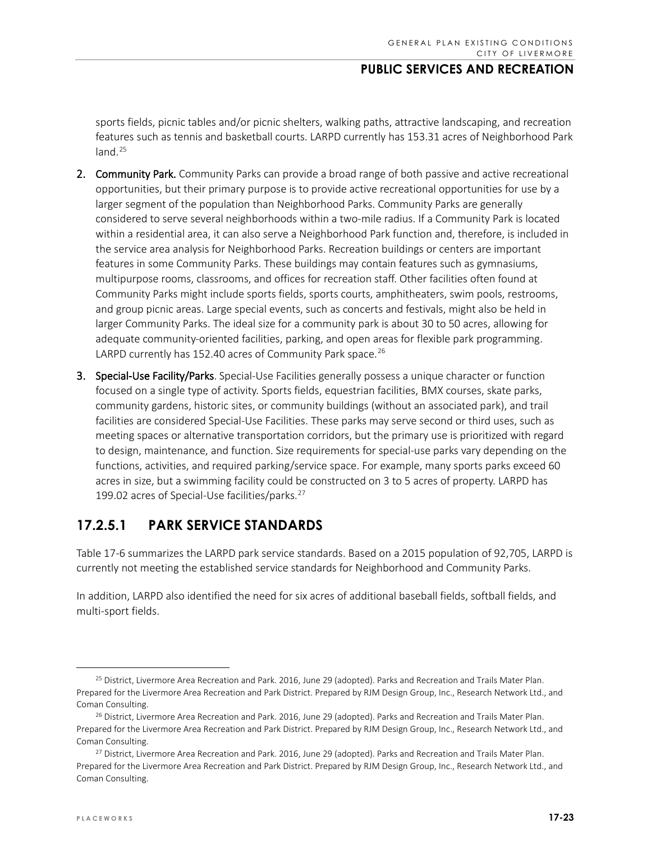sports fields, picnic tables and/or picnic shelters, walking paths, attractive landscaping, and recreation features such as tennis and basketball courts. LARPD currently has 153.31 acres of Neighborhood Park  $land.<sup>25</sup>$  $land.<sup>25</sup>$  $land.<sup>25</sup>$ 

- 2. Community Park. Community Parks can provide a broad range of both passive and active recreational opportunities, but their primary purpose is to provide active recreational opportunities for use by a larger segment of the population than Neighborhood Parks. Community Parks are generally considered to serve several neighborhoods within a two-mile radius. If a Community Park is located within a residential area, it can also serve a Neighborhood Park function and, therefore, is included in the service area analysis for Neighborhood Parks. Recreation buildings or centers are important features in some Community Parks. These buildings may contain features such as gymnasiums, multipurpose rooms, classrooms, and offices for recreation staff. Other facilities often found at Community Parks might include sports fields, sports courts, amphitheaters, swim pools, restrooms, and group picnic areas. Large special events, such as concerts and festivals, might also be held in larger Community Parks. The ideal size for a community park is about 30 to 50 acres, allowing for adequate community-oriented facilities, parking, and open areas for flexible park programming. LARPD currently has 152.40 acres of Community Park space.<sup>[26](#page-22-1)</sup>
- 3. Special-Use Facility/Parks. Special-Use Facilities generally possess a unique character or function focused on a single type of activity. Sports fields, equestrian facilities, BMX courses, skate parks, community gardens, historic sites, or community buildings (without an associated park), and trail facilities are considered Special-Use Facilities. These parks may serve second or third uses, such as meeting spaces or alternative transportation corridors, but the primary use is prioritized with regard to design, maintenance, and function. Size requirements for special-use parks vary depending on the functions, activities, and required parking/service space. For example, many sports parks exceed 60 acres in size, but a swimming facility could be constructed on 3 to 5 acres of property. LARPD has 199.02 acres of Special-Use facilities/parks. [27](#page-22-2)

# **17.2.5.1 PARK SERVICE STANDARDS**

Table 17-6 summarizes the LARPD park service standards. Based on a 2015 population of 92,705, LARPD is currently not meeting the established service standards for Neighborhood and Community Parks.

In addition, LARPD also identified the need for six acres of additional baseball fields, softball fields, and multi-sport fields.

<span id="page-22-0"></span><sup>&</sup>lt;sup>25</sup> District, Livermore Area Recreation and Park. 2016, June 29 (adopted). Parks and Recreation and Trails Mater Plan. Prepared for the Livermore Area Recreation and Park District. Prepared by RJM Design Group, Inc., Research Network Ltd., and Coman Consulting.

<span id="page-22-1"></span><sup>&</sup>lt;sup>26</sup> District, Livermore Area Recreation and Park. 2016, June 29 (adopted). Parks and Recreation and Trails Mater Plan. Prepared for the Livermore Area Recreation and Park District. Prepared by RJM Design Group, Inc., Research Network Ltd., and Coman Consulting.

<span id="page-22-2"></span><sup>&</sup>lt;sup>27</sup> District, Livermore Area Recreation and Park. 2016, June 29 (adopted). Parks and Recreation and Trails Mater Plan. Prepared for the Livermore Area Recreation and Park District. Prepared by RJM Design Group, Inc., Research Network Ltd., and Coman Consulting.